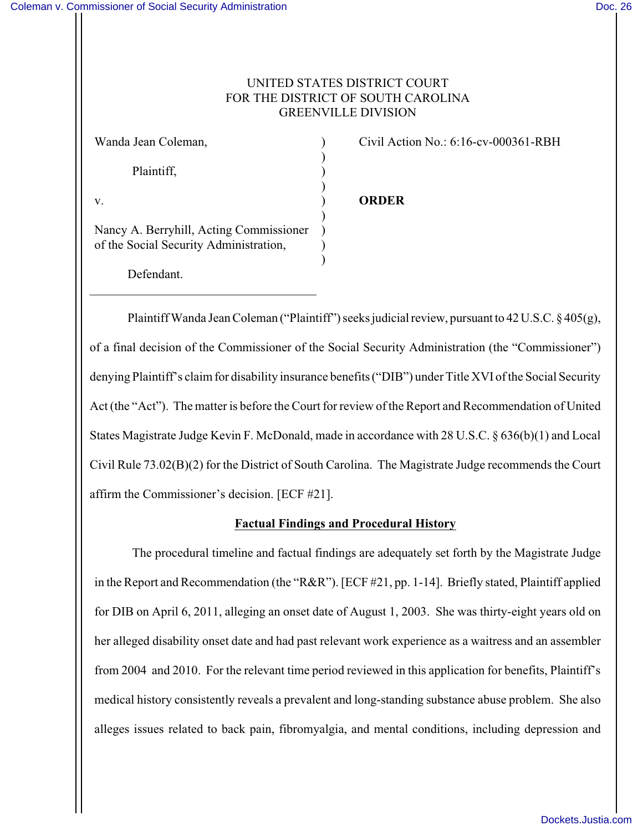# UNITED STATES DISTRICT COURT FOR THE DISTRICT OF SOUTH CAROLINA GREENVILLE DIVISION

)

)

)

)

Plaintiff, )

Nancy A. Berryhill, Acting Commissioner ) of the Social Security Administration, )

\_\_\_\_\_\_\_\_\_\_\_\_\_\_\_\_\_\_\_\_\_\_\_\_\_\_\_\_\_\_\_\_\_\_\_\_

Defendant.

Wanda Jean Coleman,  $\qquad \qquad$  (ivil Action No.: 6:16-cv-000361-RBH)

# v. ) **ORDER**

Plaintiff Wanda Jean Coleman ("Plaintiff") seeks judicial review, pursuant to 42 U.S.C. § 405(g), of a final decision of the Commissioner of the Social Security Administration (the "Commissioner") denying Plaintiff's claim for disability insurance benefits ("DIB") under Title XVI of the Social Security Act (the "Act"). The matter is before the Court for review of the Report and Recommendation of United States Magistrate Judge Kevin F. McDonald, made in accordance with 28 U.S.C. § 636(b)(1) and Local Civil Rule 73.02(B)(2) for the District of South Carolina. The Magistrate Judge recommends the Court affirm the Commissioner's decision. [ECF #21].

# **Factual Findings and Procedural History**

The procedural timeline and factual findings are adequately set forth by the Magistrate Judge in the Report and Recommendation (the "R&R"). [ECF #21, pp. 1-14]. Briefly stated, Plaintiff applied for DIB on April 6, 2011, alleging an onset date of August 1, 2003. She was thirty-eight years old on her alleged disability onset date and had past relevant work experience as a waitress and an assembler from 2004 and 2010. For the relevant time period reviewed in this application for benefits, Plaintiff's medical history consistently reveals a prevalent and long-standing substance abuse problem. She also alleges issues related to back pain, fibromyalgia, and mental conditions, including depression and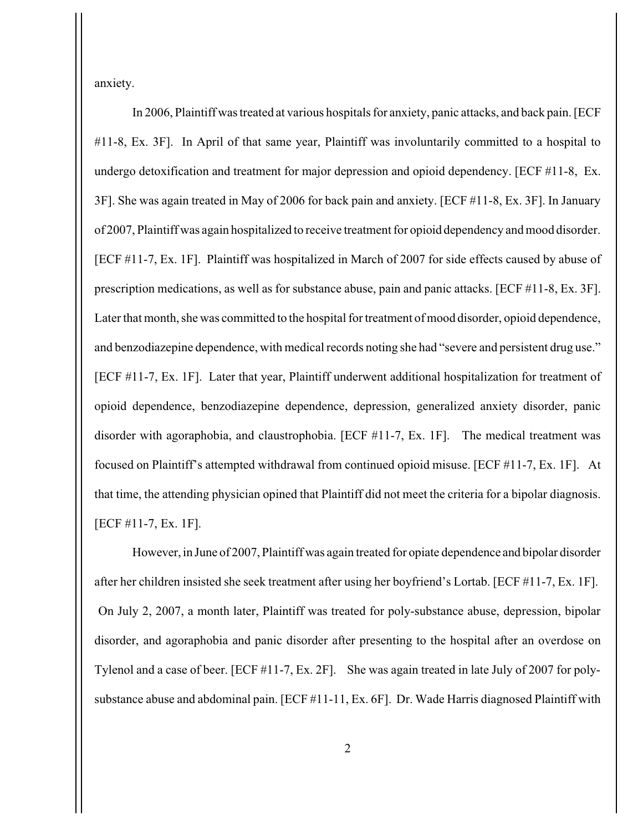anxiety.

In 2006, Plaintiff was treated at various hospitals for anxiety, panic attacks, and back pain. [ECF #11-8, Ex. 3F]. In April of that same year, Plaintiff was involuntarily committed to a hospital to undergo detoxification and treatment for major depression and opioid dependency. [ECF #11-8, Ex. 3F]. She was again treated in May of 2006 for back pain and anxiety. [ECF #11-8, Ex. 3F]. In January of 2007, Plaintiff was again hospitalized to receive treatment for opioid dependency and mood disorder. [ECF #11-7, Ex. 1F]. Plaintiff was hospitalized in March of 2007 for side effects caused by abuse of prescription medications, as well as for substance abuse, pain and panic attacks. [ECF #11-8, Ex. 3F]. Later that month, she was committed to the hospital for treatment of mood disorder, opioid dependence, and benzodiazepine dependence, with medical records noting she had "severe and persistent drug use." [ECF #11-7, Ex. 1F]. Later that year, Plaintiff underwent additional hospitalization for treatment of opioid dependence, benzodiazepine dependence, depression, generalized anxiety disorder, panic disorder with agoraphobia, and claustrophobia. [ECF #11-7, Ex. 1F]. The medical treatment was focused on Plaintiff's attempted withdrawal from continued opioid misuse. [ECF #11-7, Ex. 1F]. At that time, the attending physician opined that Plaintiff did not meet the criteria for a bipolar diagnosis. [ECF #11-7, Ex. 1F].

However, in June of 2007, Plaintiff was again treated for opiate dependence and bipolar disorder after her children insisted she seek treatment after using her boyfriend's Lortab. [ECF #11-7, Ex. 1F]. On July 2, 2007, a month later, Plaintiff was treated for poly-substance abuse, depression, bipolar disorder, and agoraphobia and panic disorder after presenting to the hospital after an overdose on Tylenol and a case of beer. [ECF #11-7, Ex. 2F]. She was again treated in late July of 2007 for polysubstance abuse and abdominal pain. [ECF #11-11, Ex. 6F]. Dr. Wade Harris diagnosed Plaintiff with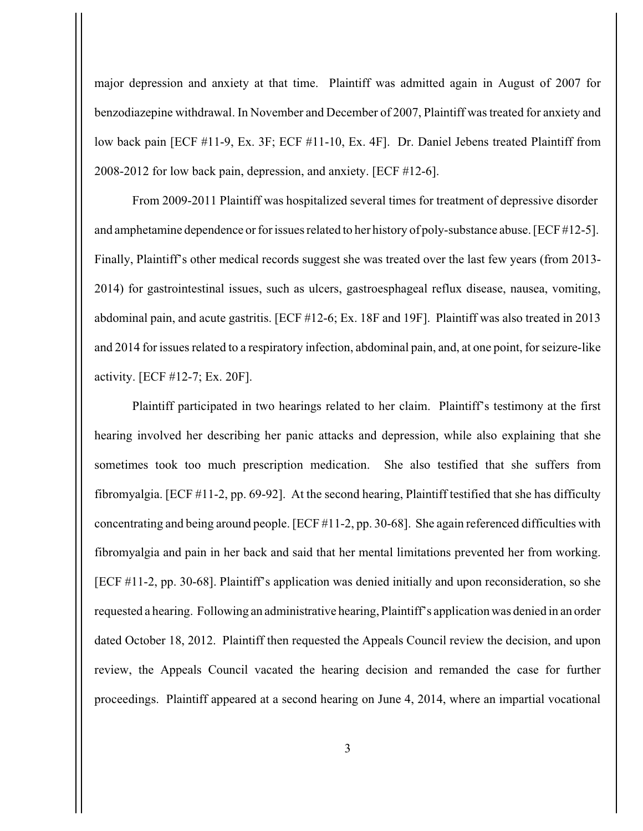major depression and anxiety at that time. Plaintiff was admitted again in August of 2007 for benzodiazepine withdrawal. In November and December of 2007, Plaintiff was treated for anxiety and low back pain [ECF #11-9, Ex. 3F; ECF #11-10, Ex. 4F]. Dr. Daniel Jebens treated Plaintiff from 2008-2012 for low back pain, depression, and anxiety. [ECF #12-6].

 From 2009-2011 Plaintiff was hospitalized several times for treatment of depressive disorder and amphetamine dependence or for issues related to her history of poly-substance abuse. [ECF #12-5]. Finally, Plaintiff's other medical records suggest she was treated over the last few years (from 2013- 2014) for gastrointestinal issues, such as ulcers, gastroesphageal reflux disease, nausea, vomiting, abdominal pain, and acute gastritis. [ECF #12-6; Ex. 18F and 19F]. Plaintiff was also treated in 2013 and 2014 for issues related to a respiratory infection, abdominal pain, and, at one point, for seizure-like activity. [ECF #12-7; Ex. 20F].

Plaintiff participated in two hearings related to her claim. Plaintiff's testimony at the first hearing involved her describing her panic attacks and depression, while also explaining that she sometimes took too much prescription medication. She also testified that she suffers from fibromyalgia. [ECF #11-2, pp. 69-92]. At the second hearing, Plaintiff testified that she has difficulty concentrating and being around people. [ECF #11-2, pp. 30-68]. She again referenced difficulties with fibromyalgia and pain in her back and said that her mental limitations prevented her from working. [ECF #11-2, pp. 30-68]. Plaintiff's application was denied initially and upon reconsideration, so she requested a hearing. Following an administrative hearing, Plaintiff's application was denied in an order dated October 18, 2012. Plaintiff then requested the Appeals Council review the decision, and upon review, the Appeals Council vacated the hearing decision and remanded the case for further proceedings. Plaintiff appeared at a second hearing on June 4, 2014, where an impartial vocational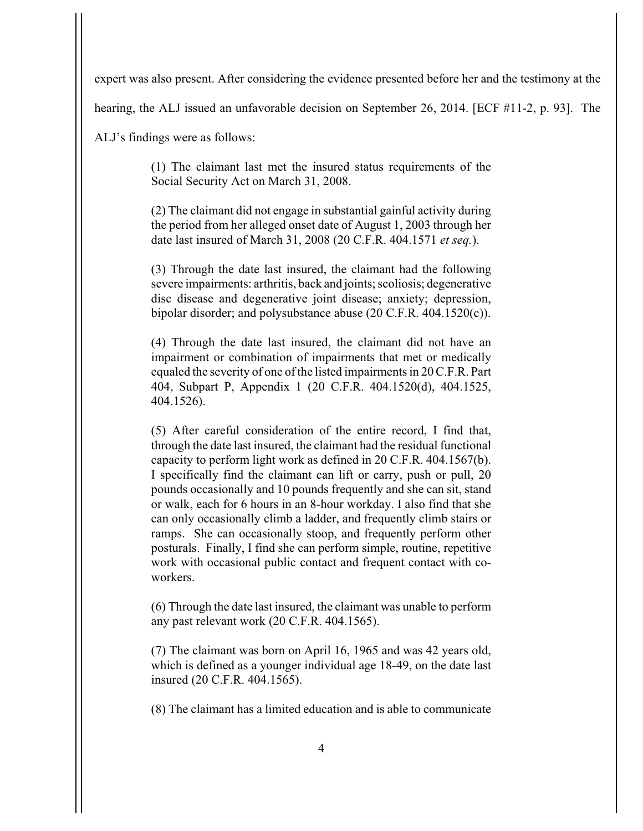expert was also present. After considering the evidence presented before her and the testimony at the

hearing, the ALJ issued an unfavorable decision on September 26, 2014. [ECF #11-2, p. 93]. The

ALJ's findings were as follows:

(1) The claimant last met the insured status requirements of the Social Security Act on March 31, 2008.

(2) The claimant did not engage in substantial gainful activity during the period from her alleged onset date of August 1, 2003 through her date last insured of March 31, 2008 (20 C.F.R. 404.1571 *et seq.*).

(3) Through the date last insured, the claimant had the following severe impairments: arthritis, back and joints; scoliosis; degenerative disc disease and degenerative joint disease; anxiety; depression, bipolar disorder; and polysubstance abuse (20 C.F.R. 404.1520(c)).

(4) Through the date last insured, the claimant did not have an impairment or combination of impairments that met or medically equaled the severity of one of the listed impairments in 20 C.F.R. Part 404, Subpart P, Appendix 1 (20 C.F.R. 404.1520(d), 404.1525, 404.1526).

(5) After careful consideration of the entire record, I find that, through the date last insured, the claimant had the residual functional capacity to perform light work as defined in 20 C.F.R. 404.1567(b). I specifically find the claimant can lift or carry, push or pull, 20 pounds occasionally and 10 pounds frequently and she can sit, stand or walk, each for 6 hours in an 8-hour workday. I also find that she can only occasionally climb a ladder, and frequently climb stairs or ramps. She can occasionally stoop, and frequently perform other posturals. Finally, I find she can perform simple, routine, repetitive work with occasional public contact and frequent contact with coworkers.

(6) Through the date last insured, the claimant was unable to perform any past relevant work (20 C.F.R. 404.1565).

(7) The claimant was born on April 16, 1965 and was 42 years old, which is defined as a younger individual age 18-49, on the date last insured (20 C.F.R. 404.1565).

(8) The claimant has a limited education and is able to communicate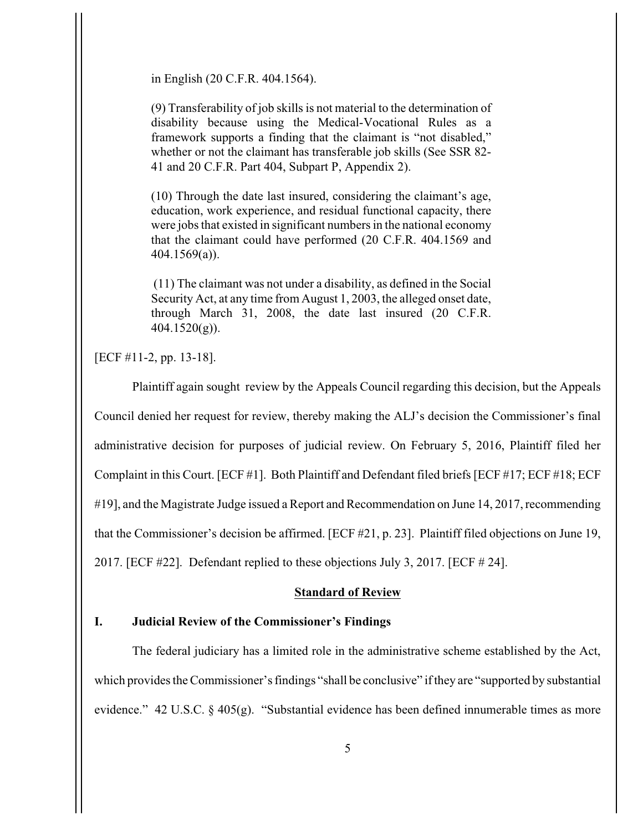in English (20 C.F.R. 404.1564).

(9) Transferability of job skills is not material to the determination of disability because using the Medical-Vocational Rules as a framework supports a finding that the claimant is "not disabled," whether or not the claimant has transferable job skills (See SSR 82- 41 and 20 C.F.R. Part 404, Subpart P, Appendix 2).

(10) Through the date last insured, considering the claimant's age, education, work experience, and residual functional capacity, there were jobs that existed in significant numbers in the national economy that the claimant could have performed (20 C.F.R. 404.1569 and 404.1569(a)).

 (11) The claimant was not under a disability, as defined in the Social Security Act, at any time from August 1, 2003, the alleged onset date, through March 31, 2008, the date last insured (20 C.F.R. 404.1520(g)).

[ECF #11-2, pp. 13-18].

Plaintiff again sought review by the Appeals Council regarding this decision, but the Appeals Council denied her request for review, thereby making the ALJ's decision the Commissioner's final administrative decision for purposes of judicial review. On February 5, 2016, Plaintiff filed her Complaint in this Court. [ECF #1]. Both Plaintiff and Defendant filed briefs [ECF #17; ECF #18; ECF #19], and the Magistrate Judge issued a Report and Recommendation on June 14, 2017, recommending that the Commissioner's decision be affirmed. [ECF #21, p. 23]. Plaintiff filed objections on June 19, 2017. [ECF #22]. Defendant replied to these objections July 3, 2017. [ECF # 24].

### **Standard of Review**

## **I. Judicial Review of the Commissioner's Findings**

The federal judiciary has a limited role in the administrative scheme established by the Act, which provides the Commissioner's findings "shall be conclusive" if they are "supported by substantial evidence." 42 U.S.C. § 405(g). "Substantial evidence has been defined innumerable times as more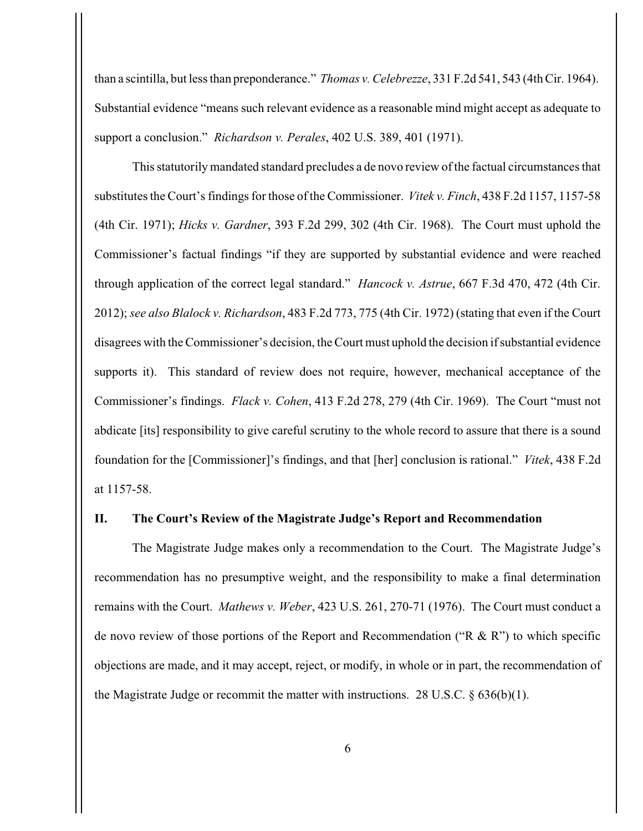than a scintilla, but less than preponderance." *Thomas v. Celebrezze*, 331 F.2d 541, 543 (4th Cir. 1964). Substantial evidence "means such relevant evidence as a reasonable mind might accept as adequate to support a conclusion." *Richardson v. Perales*, 402 U.S. 389, 401 (1971).

This statutorily mandated standard precludes a de novo review of the factual circumstances that substitutes the Court's findings for those of the Commissioner. *Vitek v. Finch*, 438 F.2d 1157, 1157-58 (4th Cir. 1971); *Hicks v. Gardner*, 393 F.2d 299, 302 (4th Cir. 1968). The Court must uphold the Commissioner's factual findings "if they are supported by substantial evidence and were reached through application of the correct legal standard." *Hancock v. Astrue*, 667 F.3d 470, 472 (4th Cir. 2012); *see also Blalock v. Richardson*, 483 F.2d 773, 775 (4th Cir. 1972) (stating that even if the Court disagrees with the Commissioner's decision, the Court must uphold the decision if substantial evidence supports it). This standard of review does not require, however, mechanical acceptance of the Commissioner's findings. *Flack v. Cohen*, 413 F.2d 278, 279 (4th Cir. 1969). The Court "must not abdicate [its] responsibility to give careful scrutiny to the whole record to assure that there is a sound foundation for the [Commissioner]'s findings, and that [her] conclusion is rational." *Vitek*, 438 F.2d at 1157-58.

#### **II. The Court's Review of the Magistrate Judge's Report and Recommendation**

The Magistrate Judge makes only a recommendation to the Court. The Magistrate Judge's recommendation has no presumptive weight, and the responsibility to make a final determination remains with the Court. *Mathews v. Weber*, 423 U.S. 261, 270-71 (1976). The Court must conduct a de novo review of those portions of the Report and Recommendation ("R & R") to which specific objections are made, and it may accept, reject, or modify, in whole or in part, the recommendation of the Magistrate Judge or recommit the matter with instructions. 28 U.S.C.  $\S$  636(b)(1).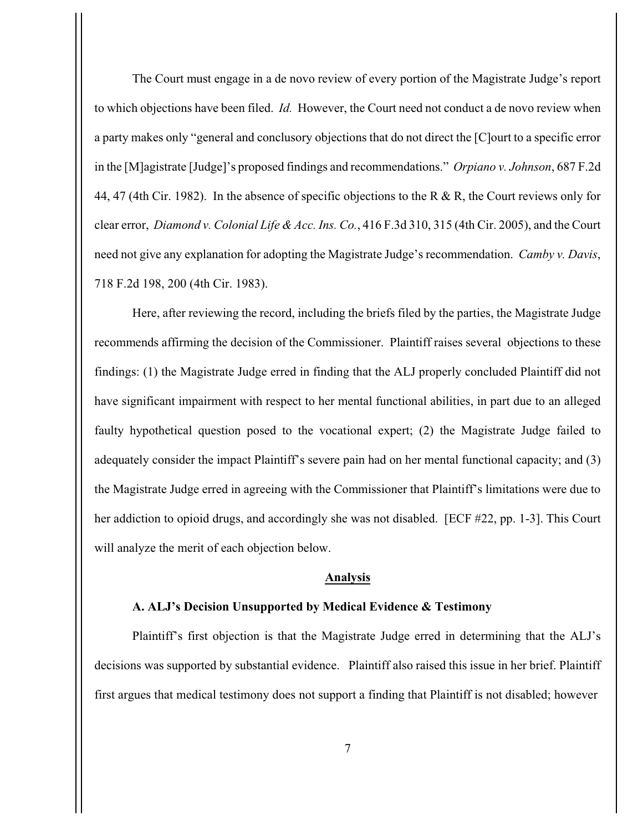The Court must engage in a de novo review of every portion of the Magistrate Judge's report to which objections have been filed. *Id.* However, the Court need not conduct a de novo review when a party makes only "general and conclusory objections that do not direct the [C]ourt to a specific error in the [M]agistrate [Judge]'s proposed findings and recommendations." *Orpiano v. Johnson*, 687 F.2d 44, 47 (4th Cir. 1982). In the absence of specific objections to the R & R, the Court reviews only for clear error, *Diamond v. Colonial Life & Acc. Ins. Co.*, 416 F.3d 310, 315 (4th Cir. 2005), and the Court need not give any explanation for adopting the Magistrate Judge's recommendation. *Camby v. Davis*, 718 F.2d 198, 200 (4th Cir. 1983).

Here, after reviewing the record, including the briefs filed by the parties, the Magistrate Judge recommends affirming the decision of the Commissioner. Plaintiff raises several objections to these findings: (1) the Magistrate Judge erred in finding that the ALJ properly concluded Plaintiff did not have significant impairment with respect to her mental functional abilities, in part due to an alleged faulty hypothetical question posed to the vocational expert; (2) the Magistrate Judge failed to adequately consider the impact Plaintiff's severe pain had on her mental functional capacity; and (3) the Magistrate Judge erred in agreeing with the Commissioner that Plaintiff's limitations were due to her addiction to opioid drugs, and accordingly she was not disabled. [ECF #22, pp. 1-3]. This Court will analyze the merit of each objection below.

## **Analysis**

## **A. ALJ's Decision Unsupported by Medical Evidence & Testimony**

Plaintiff's first objection is that the Magistrate Judge erred in determining that the ALJ's decisions was supported by substantial evidence. Plaintiff also raised this issue in her brief. Plaintiff first argues that medical testimony does not support a finding that Plaintiff is not disabled; however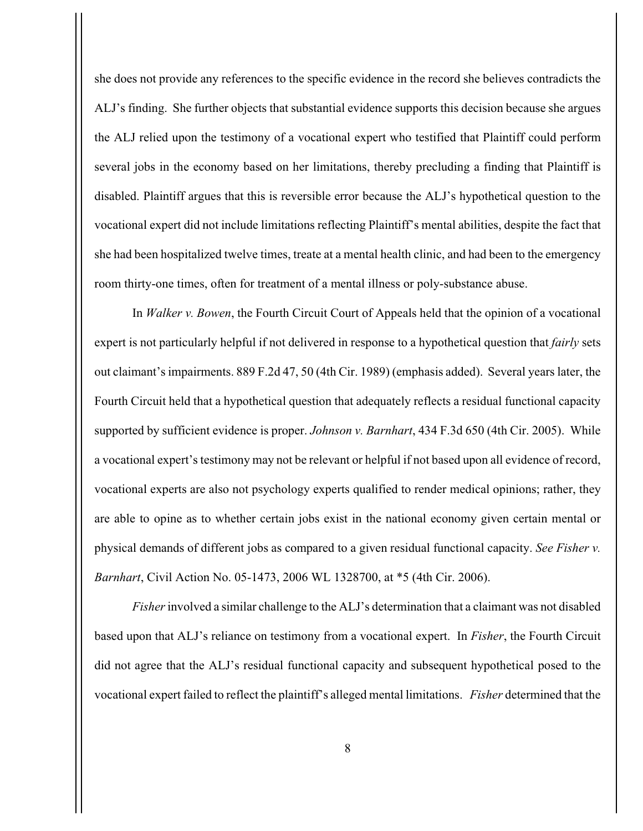she does not provide any references to the specific evidence in the record she believes contradicts the ALJ's finding. She further objects that substantial evidence supports this decision because she argues the ALJ relied upon the testimony of a vocational expert who testified that Plaintiff could perform several jobs in the economy based on her limitations, thereby precluding a finding that Plaintiff is disabled. Plaintiff argues that this is reversible error because the ALJ's hypothetical question to the vocational expert did not include limitations reflecting Plaintiff's mental abilities, despite the fact that she had been hospitalized twelve times, treate at a mental health clinic, and had been to the emergency room thirty-one times, often for treatment of a mental illness or poly-substance abuse.

In *Walker v. Bowen*, the Fourth Circuit Court of Appeals held that the opinion of a vocational expert is not particularly helpful if not delivered in response to a hypothetical question that *fairly* sets out claimant's impairments. 889 F.2d 47, 50 (4th Cir. 1989) (emphasis added). Several years later, the Fourth Circuit held that a hypothetical question that adequately reflects a residual functional capacity supported by sufficient evidence is proper. *Johnson v. Barnhart*, 434 F.3d 650 (4th Cir. 2005). While a vocational expert's testimony may not be relevant or helpful if not based upon all evidence of record, vocational experts are also not psychology experts qualified to render medical opinions; rather, they are able to opine as to whether certain jobs exist in the national economy given certain mental or physical demands of different jobs as compared to a given residual functional capacity. *See Fisher v. Barnhart*, Civil Action No. 05-1473, 2006 WL 1328700, at \*5 (4th Cir. 2006).

*Fisher* involved a similar challenge to the ALJ's determination that a claimant was not disabled based upon that ALJ's reliance on testimony from a vocational expert. In *Fisher*, the Fourth Circuit did not agree that the ALJ's residual functional capacity and subsequent hypothetical posed to the vocational expert failed to reflect the plaintiff's alleged mental limitations. *Fisher* determined that the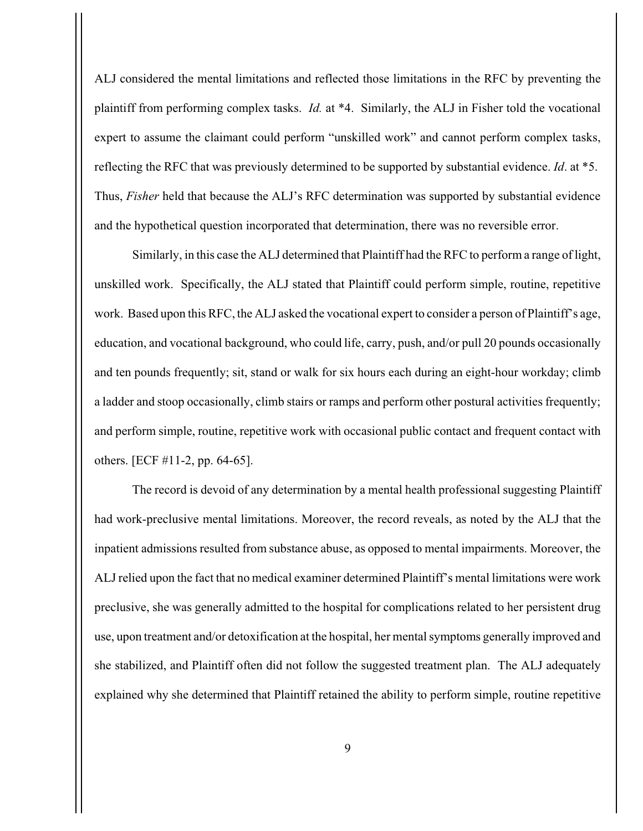ALJ considered the mental limitations and reflected those limitations in the RFC by preventing the plaintiff from performing complex tasks. *Id.* at \*4.Similarly, the ALJ in Fisher told the vocational expert to assume the claimant could perform "unskilled work" and cannot perform complex tasks, reflecting the RFC that was previously determined to be supported by substantial evidence. *Id*. at \*5. Thus, *Fisher* held that because the ALJ's RFC determination was supported by substantial evidence and the hypothetical question incorporated that determination, there was no reversible error.

Similarly, in this case the ALJ determined that Plaintiff had the RFC to perform a range of light, unskilled work. Specifically, the ALJ stated that Plaintiff could perform simple, routine, repetitive work. Based upon this RFC, the ALJ asked the vocational expert to consider a person of Plaintiff's age, education, and vocational background, who could life, carry, push, and/or pull 20 pounds occasionally and ten pounds frequently; sit, stand or walk for six hours each during an eight-hour workday; climb a ladder and stoop occasionally, climb stairs or ramps and perform other postural activities frequently; and perform simple, routine, repetitive work with occasional public contact and frequent contact with others. [ECF #11-2, pp. 64-65].

The record is devoid of any determination by a mental health professional suggesting Plaintiff had work-preclusive mental limitations. Moreover, the record reveals, as noted by the ALJ that the inpatient admissions resulted from substance abuse, as opposed to mental impairments. Moreover, the ALJ relied upon the fact that no medical examiner determined Plaintiff's mental limitations were work preclusive, she was generally admitted to the hospital for complications related to her persistent drug use, upon treatment and/or detoxification at the hospital, her mental symptoms generally improved and she stabilized, and Plaintiff often did not follow the suggested treatment plan. The ALJ adequately explained why she determined that Plaintiff retained the ability to perform simple, routine repetitive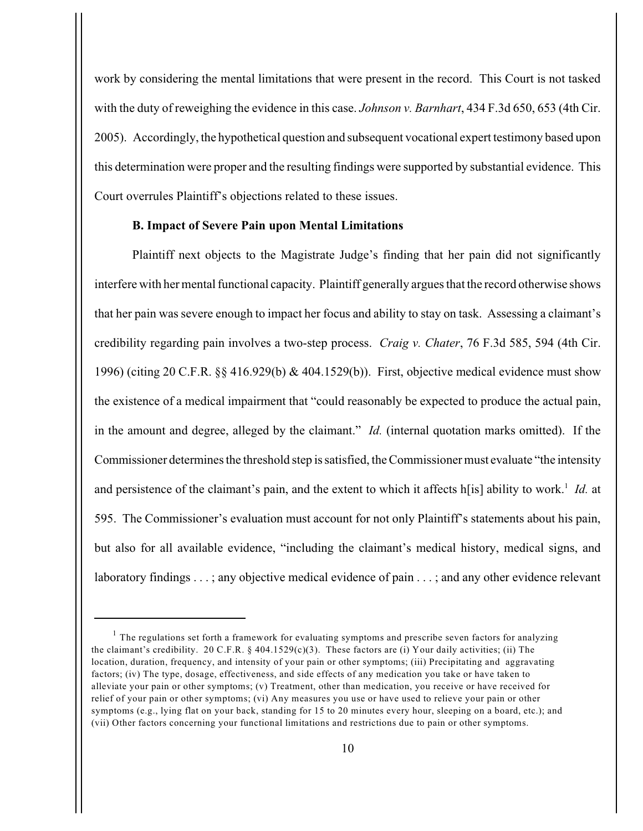work by considering the mental limitations that were present in the record. This Court is not tasked with the duty of reweighing the evidence in this case. *Johnson v. Barnhart*, 434 F.3d 650, 653 (4th Cir. 2005). Accordingly, the hypothetical question and subsequent vocational expert testimony based upon this determination were proper and the resulting findings were supported by substantial evidence. This Court overrules Plaintiff's objections related to these issues.

## **B. Impact of Severe Pain upon Mental Limitations**

Plaintiff next objects to the Magistrate Judge's finding that her pain did not significantly interfere with her mental functional capacity. Plaintiff generally argues that the record otherwise shows that her pain was severe enough to impact her focus and ability to stay on task. Assessing a claimant's credibility regarding pain involves a two-step process. *Craig v. Chater*, 76 F.3d 585, 594 (4th Cir. 1996) (citing 20 C.F.R. §§ 416.929(b) & 404.1529(b)). First, objective medical evidence must show the existence of a medical impairment that "could reasonably be expected to produce the actual pain, in the amount and degree, alleged by the claimant." *Id.* (internal quotation marks omitted). If the Commissioner determines the threshold step is satisfied, the Commissioner must evaluate "the intensity and persistence of the claimant's pain, and the extent to which it affects h[is] ability to work.<sup>1</sup> Id. at 595. The Commissioner's evaluation must account for not only Plaintiff's statements about his pain, but also for all available evidence, "including the claimant's medical history, medical signs, and laboratory findings . . . ; any objective medical evidence of pain . . . ; and any other evidence relevant

 $1$  The regulations set forth a framework for evaluating symptoms and prescribe seven factors for analyzing the claimant's credibility. 20 C.F.R. § 404.1529(c)(3). These factors are (i) Your daily activities; (ii) The location, duration, frequency, and intensity of your pain or other symptoms; (iii) Precipitating and aggravating factors; (iv) The type, dosage, effectiveness, and side effects of any medication you take or have taken to alleviate your pain or other symptoms; (v) Treatment, other than medication, you receive or have received for relief of your pain or other symptoms; (vi) Any measures you use or have used to relieve your pain or other symptoms (e.g., lying flat on your back, standing for 15 to 20 minutes every hour, sleeping on a board, etc.); and (vii) Other factors concerning your functional limitations and restrictions due to pain or other symptoms.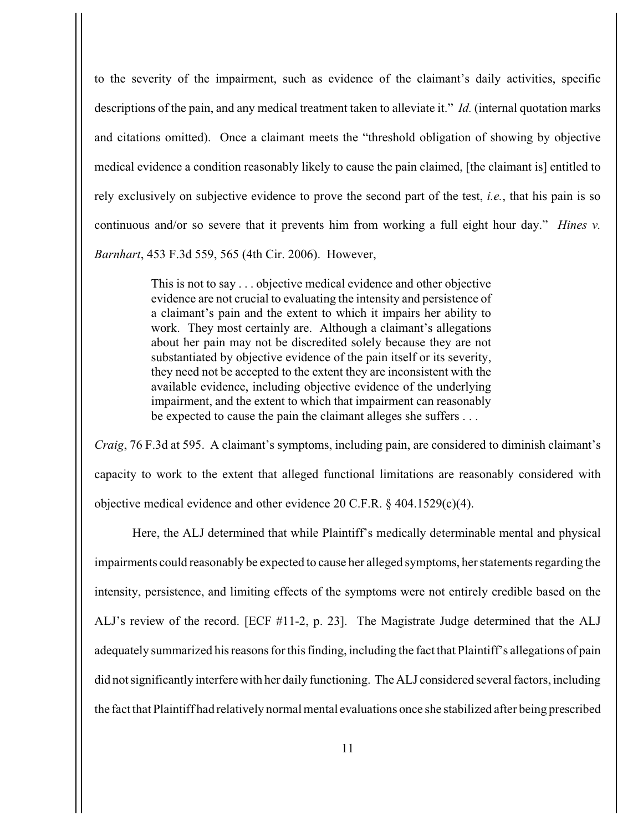to the severity of the impairment, such as evidence of the claimant's daily activities, specific descriptions of the pain, and any medical treatment taken to alleviate it." *Id.* (internal quotation marks and citations omitted). Once a claimant meets the "threshold obligation of showing by objective medical evidence a condition reasonably likely to cause the pain claimed, [the claimant is] entitled to rely exclusively on subjective evidence to prove the second part of the test, *i.e.*, that his pain is so continuous and/or so severe that it prevents him from working a full eight hour day." *Hines v. Barnhart*, 453 F.3d 559, 565 (4th Cir. 2006). However,

> This is not to say . . . objective medical evidence and other objective evidence are not crucial to evaluating the intensity and persistence of a claimant's pain and the extent to which it impairs her ability to work. They most certainly are. Although a claimant's allegations about her pain may not be discredited solely because they are not substantiated by objective evidence of the pain itself or its severity, they need not be accepted to the extent they are inconsistent with the available evidence, including objective evidence of the underlying impairment, and the extent to which that impairment can reasonably be expected to cause the pain the claimant alleges she suffers . . .

*Craig*, 76 F.3d at 595. A claimant's symptoms, including pain, are considered to diminish claimant's capacity to work to the extent that alleged functional limitations are reasonably considered with objective medical evidence and other evidence 20 C.F.R. § 404.1529(c)(4).

Here, the ALJ determined that while Plaintiff's medically determinable mental and physical impairments could reasonably be expected to cause her alleged symptoms, her statements regarding the intensity, persistence, and limiting effects of the symptoms were not entirely credible based on the ALJ's review of the record. [ECF #11-2, p. 23]. The Magistrate Judge determined that the ALJ adequately summarized his reasons for this finding, including the fact that Plaintiff's allegations of pain did not significantly interfere with her daily functioning. The ALJ considered several factors, including the fact that Plaintiff had relatively normal mental evaluations once she stabilized after being prescribed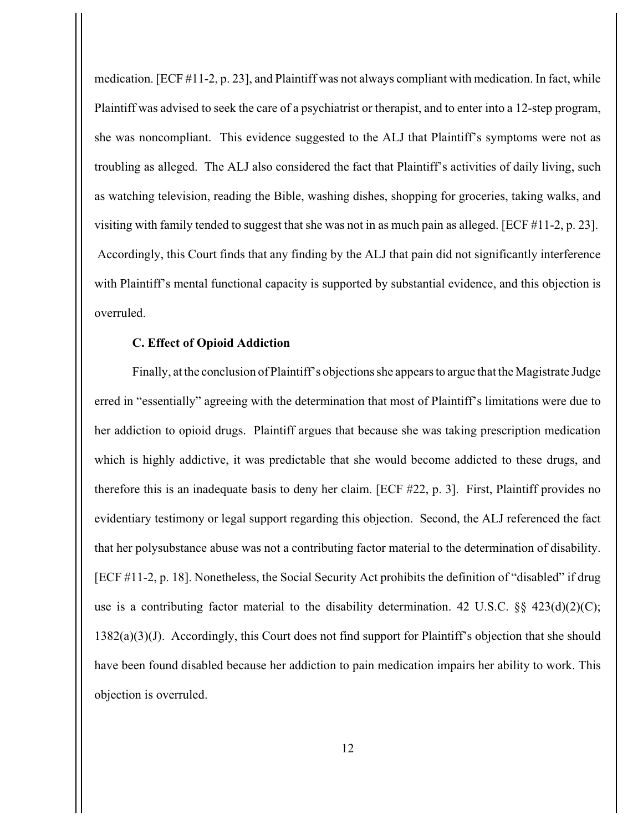medication. [ECF #11-2, p. 23], and Plaintiff was not always compliant with medication. In fact, while Plaintiff was advised to seek the care of a psychiatrist or therapist, and to enter into a 12-step program, she was noncompliant. This evidence suggested to the ALJ that Plaintiff's symptoms were not as troubling as alleged. The ALJ also considered the fact that Plaintiff's activities of daily living, such as watching television, reading the Bible, washing dishes, shopping for groceries, taking walks, and visiting with family tended to suggest that she was not in as much pain as alleged. [ECF #11-2, p. 23]. Accordingly, this Court finds that any finding by the ALJ that pain did not significantly interference with Plaintiff's mental functional capacity is supported by substantial evidence, and this objection is overruled.

#### **C. Effect of Opioid Addiction**

Finally, at the conclusion of Plaintiff's objections she appears to argue that the Magistrate Judge erred in "essentially" agreeing with the determination that most of Plaintiff's limitations were due to her addiction to opioid drugs. Plaintiff argues that because she was taking prescription medication which is highly addictive, it was predictable that she would become addicted to these drugs, and therefore this is an inadequate basis to deny her claim. [ECF #22, p. 3]. First, Plaintiff provides no evidentiary testimony or legal support regarding this objection. Second, the ALJ referenced the fact that her polysubstance abuse was not a contributing factor material to the determination of disability. [ECF #11-2, p. 18]. Nonetheless, the Social Security Act prohibits the definition of "disabled" if drug use is a contributing factor material to the disability determination. 42 U.S.C.  $\S\S 423(d)(2)(C)$ ;  $1382(a)(3)(J)$ . Accordingly, this Court does not find support for Plaintiff's objection that she should have been found disabled because her addiction to pain medication impairs her ability to work. This objection is overruled.